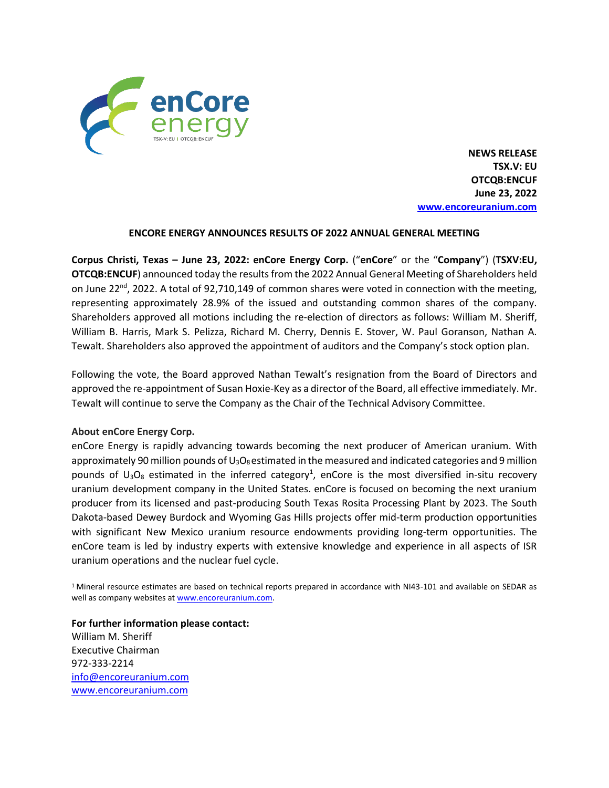

 **NEWS RELEASE TSX.V: EU OTCQB:ENCUF June 23, 2022 [www.encoreuranium.com](http://www.encoreuranium.com/)**

## **ENCORE ENERGY ANNOUNCES RESULTS OF 2022 ANNUAL GENERAL MEETING**

**Corpus Christi, Texas – June 23, 2022: enCore Energy Corp.** ("**enCore**" or the "**Company**") (**TSXV:EU, OTCQB:ENCUF**) announced today the results from the 2022 Annual General Meeting of Shareholders held on June 22<sup>nd</sup>, 2022. A total of 92,710,149 of common shares were voted in connection with the meeting, representing approximately 28.9% of the issued and outstanding common shares of the company. Shareholders approved all motions including the re-election of directors as follows: William M. Sheriff, William B. Harris, Mark S. Pelizza, Richard M. Cherry, Dennis E. Stover, W. Paul Goranson, Nathan A. Tewalt. Shareholders also approved the appointment of auditors and the Company's stock option plan.

Following the vote, the Board approved Nathan Tewalt's resignation from the Board of Directors and approved the re-appointment of Susan Hoxie-Key as a director of the Board, all effective immediately. Mr. Tewalt will continue to serve the Company as the Chair of the Technical Advisory Committee.

## **About enCore Energy Corp.**

enCore Energy is rapidly advancing towards becoming the next producer of American uranium. With approximately 90 million pounds of  $U_3O_8$  estimated in the measured and indicated categories and 9 million pounds of  $U_3O_8$  estimated in the inferred category<sup>1</sup>, enCore is the most diversified in-situ recovery uranium development company in the United States. enCore is focused on becoming the next uranium producer from its licensed and past-producing South Texas Rosita Processing Plant by 2023. The South Dakota-based Dewey Burdock and Wyoming Gas Hills projects offer mid-term production opportunities with significant New Mexico uranium resource endowments providing long-term opportunities. The enCore team is led by industry experts with extensive knowledge and experience in all aspects of ISR uranium operations and the nuclear fuel cycle.

<sup>1</sup> Mineral resource estimates are based on technical reports prepared in accordance with NI43-101 and available on SEDAR as well as company websites a[t www.encoreuranium.com.](http://www.encoreuranium.com/)

**For further information please contact:**  William M. Sheriff Executive Chairman 972-333-2214 [info@encoreuranium.com](mailto:info@encoreuranium.com) [www.encoreuranium.com](http://www.encoreuranium.com/)